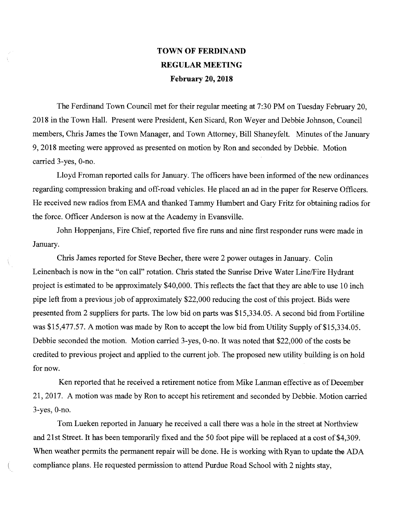## **TOWN OF FERDINAND REGULAR MEETING February 20, 2018**

The Ferdinand Town Council met for their regular meeting at 7:30 PM on Tuesday February 20, 2018 in the Town Hall. Present were President, Ken Sicard, Ron Weyer and Debbie Johnson, Council members, Chris James the Town Manager, and Town Attorney, Bill Shaneyfelt. Minutes of the January 9, 2018 meeting were approved as presented on motion by Ron and seconded by Debbie. Motion carried 3-yes, 0-no.

Lloyd Froman reported calls for January. The officers have been informed of the new ordinances regarding compression braking and off-road vehicles. He placed an ad in the paper for Reserve Officers. He received new radios from EMA and thanked Tammy Humbert and Gary Fritz for obtaining radios for the force. Officer Anderson is now at the Academy in Evansville.

John Hoppenjans, Fire Chief, reported five fire runs and nine first responder runs were made in January.

Chris James reported for Steve Becher, there were 2 power outages in January. Colin Leinenbach is now in the "on call" rotation. Chris stated the Sunrise Drive Water Line/Fire Hydrant project is estimated to be approximately \$40,000. This reflects the fact that they are able to use 10 inch pipe left from a previous job of approximately \$22,000 reducing the cost of this project. Bids were presented from 2 suppliers for parts. The low bid on parts was \$15,334.05. A second bid from Fortiline was \$15,477.57. A motion was made by Ron to accept the low bid from Utility Supply of \$15,334.05. Debbie seconded the motion. Motion carried 3-yes, 0-no. It was noted that \$22,000 of the costs be credited to previous project and applied to the current job. The proposed new utility building is on hold for now.

Ken reported that he received a retirement notice from Mike Lanman effective as of December 21, 2017. A motion was made by Ron to accept his retirement and seconded by Debbie. Motion carried 3-yes, 0-no.

Tom Lueken reported in January he received a call there was a hole in the street at Northview and 21st Street. It has been temporarily fixed and the 50 foot pipe will be replaced at a cost of \$4,309. When weather permits the permanent repair will be done. He is working with Ryan to update the ADA compliance plans. He requested permission to attend Purdue Road School with 2 nights stay,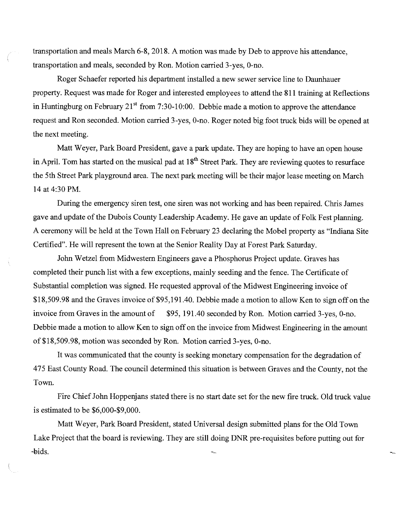transportation and meals March 6-8, 2018. A motion was made by Deb to approve his attendance, transportation and meals, seconded by Ron. Motion carried 3-yes, 0-no.

Roger Schaefer reported his department installed a new sewer service line to Daunhauer property. Request was made for Roger and interested employees to attend the 811 training at Reflections in Huntingburg on February  $21^{st}$  from 7:30-10:00. Debbie made a motion to approve the attendance request and Ron seconded. Motion carried 3-yes, 0-no. Roger noted big foot truck bids will be opened at the next meeting.

Matt Weyer, Park Board President, gave a park update. They are hoping to have an open house in April. Tom has started on the musical pad at  $18<sup>th</sup>$  Street Park. They are reviewing quotes to resurface the 5th Street Park playground area. The next park meeting will be their major lease meeting on March 14 at 4:30 PM.

During the emergency siren test, one siren was not working and has been repaired. Chris James gave and update of the Dubois County Leadership Academy. He gave an update of Folk Fest planning. A ceremony will be held at the Town Hall on February 23 declaring the Mobel property as "Indiana Site Certified". He will represent the town at the Senior Reality Day at Forest Park Saturday.

John Wetzel from Midwestern Engineers gave a Phosphorus Project update. Graves has completed their punch list with a few exceptions, mainly seeding and the fence. The Certificate of Substantial completion was signed. He requested approval of the Midwest Engineering invoice of \$18,509.98 and the Graves invoice of \$95,191.40. Debbie made a motion to allow Ken to sign off on the invoice from Graves in the amount of \$95, 191.40 seconded by Ron. Motion carried 3-yes, 0-no. Debbie made a motion to allow Ken to sign off on the invoice from Midwest Engineering in the amount of \$18,509.98, motion was seconded by Ron. Motion carried 3-yes, 0-no.

It was communicated that the county is seeking monetary compensation for the degradation of 475 East County Road. The council determined this situation is between Graves and the County, not the Town.

Fire Chief John Hoppenjans stated there is no start date set for the new fire truck. Old truck value is estimated to be \$6,000-\$9,000.

Matt Weyer, Park Board President, stated Universal design submitted plans for the Old Town Lake Project that the board is reviewing. They are still doing DNR pre-requisites before putting out for -bids.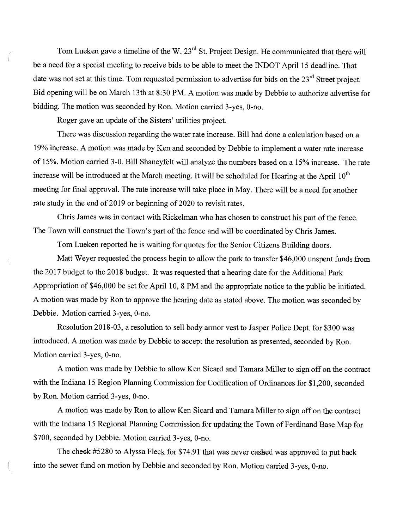Tom Lueken gave a timeline of the W.  $23<sup>rd</sup>$  St. Project Design. He communicated that there will be a need for a special meeting to receive bids to be able to meet the INDOT April 15 deadline. That date was not set at this time. Tom requested permission to advertise for bids on the 23<sup>rd</sup> Street project. Bid opening will be on March 13th at 8:30 PM. A motion was made by Debbie to authorize advertise for bidding. The motion was seconded by Ron. Motion carried 3-yes, 0-no.

Roger gave an update of the Sisters' utilities project.

There was discussion regarding the water rate increase. Bill had done a calculation based on a 19% increase. A motion was made by Ken and seconded by Debbie to implement a water rate increase of 15%. Motion carried 3-0. Bill Shaneyfelt will analyze the numbers based on a 15% increase. The rate increase will be introduced at the March meeting. It will be scheduled for Hearing at the April  $10<sup>th</sup>$ meeting for final approval. The rate increase will take place in May. There will be a need for another rate study in the end of 2019 or beginning of 2020 to revisit rates.

Chris James was in contact with Rickelman who has chosen to construct his part of the fence. The Town will construct the Town's part of the fence and will be coordinated by Chris James.

Tom Lueken reported he is waiting for quotes for the Senior Citizens Building doors.

Matt Weyer requested the process begin to allow the park to transfer \$46,000 unspent funds from the 2017 budget to the 2018 budget. It was requested that a hearing date for the Additional Park Appropriation of \$46,000 be set for April 10, 8 PM and the appropriate notice to the public be initiated. A motion was made by Ron to approve the hearing date as stated above. The motion was seconded by Debbie. Motion carried 3-yes, 0-no.

Resolution 2018-03, a resolution to sell body armor vest to Jasper Police Dept. for \$300 was introduced. A motion was made by Debbie to accept the resolution as presented, seconded by Ron. Motion carried 3-yes, 0-no.

A motion was made by Debbie to allow Ken Sicard and Tamara Miller to sign off on the contract with the Indiana 15 Region Planning Commission for Codification of Ordinances for \$1,200, seconded by Ron. Motion carried 3-yes, 0-no.

A motion was made by Ron to allow Ken Sicard and Tamara Miller to sign off on the contract with the Indiana 15 Regional Planning Commission for updating the Town of Ferdinand Base Map for \$700, seconded by Debbie. Motion carried 3-yes, 0-no.

The cheek #5280 to Alyssa Fleck for \$74.91 that was never cashed was approved to put back into the sewer fund on motion by Debbie and seconded by Ron. Motion carried 3-yes, 0-no.